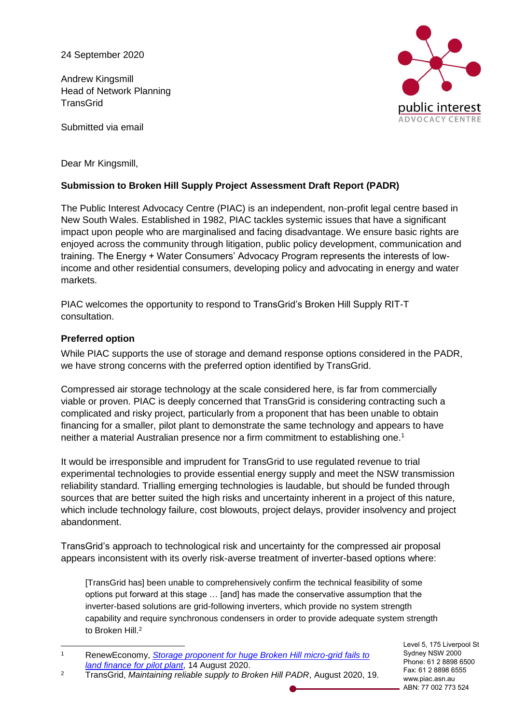24 September 2020

Andrew Kingsmill Head of Network Planning **TransGrid** 

Submitted via email



Dear Mr Kingsmill,

# **Submission to Broken Hill Supply Project Assessment Draft Report (PADR)**

The Public Interest Advocacy Centre (PIAC) is an independent, non-profit legal centre based in New South Wales. Established in 1982, PIAC tackles systemic issues that have a significant impact upon people who are marginalised and facing disadvantage. We ensure basic rights are enjoyed across the community through litigation, public policy development, communication and training. The Energy + Water Consumers' Advocacy Program represents the interests of lowincome and other residential consumers, developing policy and advocating in energy and water markets.

PIAC welcomes the opportunity to respond to TransGrid's Broken Hill Supply RIT-T consultation.

## **Preferred option**

While PIAC supports the use of storage and demand response options considered in the PADR, we have strong concerns with the preferred option identified by TransGrid.

Compressed air storage technology at the scale considered here, is far from commercially viable or proven. PIAC is deeply concerned that TransGrid is considering contracting such a complicated and risky project, particularly from a proponent that has been unable to obtain financing for a smaller, pilot plant to demonstrate the same technology and appears to have neither a material Australian presence nor a firm commitment to establishing one.<sup>1</sup>

It would be irresponsible and imprudent for TransGrid to use regulated revenue to trial experimental technologies to provide essential energy supply and meet the NSW transmission reliability standard. Trialling emerging technologies is laudable, but should be funded through sources that are better suited the high risks and uncertainty inherent in a project of this nature, which include technology failure, cost blowouts, project delays, provider insolvency and project abandonment.

TransGrid's approach to technological risk and uncertainty for the compressed air proposal appears inconsistent with its overly risk-averse treatment of inverter-based options where:

[TransGrid has] been unable to comprehensively confirm the technical feasibility of some options put forward at this stage … [and] has made the conservative assumption that the inverter-based solutions are grid-following inverters, which provide no system strength capability and require synchronous condensers in order to provide adequate system strength to Broken Hill.<sup>2</sup>

Level 5, 175 Liverpool St Sydney NSW 2000 Phone: 61 2 8898 6500 Fax: 61 2 8898 6555 www.piac.asn.au ABN: 77 002 773 524

 $\mathbf{1}$ <sup>1</sup> RenewEconomy, *[Storage proponent for huge Broken Hill micro-grid fails to](https://reneweconomy.com.au/storage-proponent-for-huge-broken-hill-micro-grid-fails-to-land-finance-for-pilot-plant-62075/)  [land finance for pilot plant](https://reneweconomy.com.au/storage-proponent-for-huge-broken-hill-micro-grid-fails-to-land-finance-for-pilot-plant-62075/)*, 14 August 2020.

<sup>2</sup> TransGrid, *Maintaining reliable supply to Broken Hill PADR*, August 2020, 19.